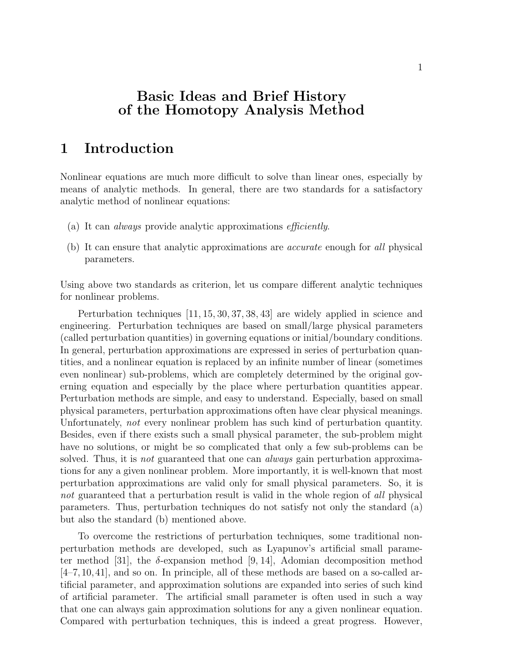## Basic Ideas and Brief History of the Homotopy Analysis Method

## 1 Introduction

Nonlinear equations are much more difficult to solve than linear ones, especially by means of analytic methods. In general, there are two standards for a satisfactory analytic method of nonlinear equations:

- (a) It can *always* provide analytic approximations *efficiently*.
- (b) It can ensure that analytic approximations are accurate enough for all physical parameters.

Using above two standards as criterion, let us compare different analytic techniques for nonlinear problems.

Perturbation techniques [11, 15, 30, 37, 38, 43] are widely applied in science and engineering. Perturbation techniques are based on small/large physical parameters (called perturbation quantities) in governing equations or initial/boundary conditions. In general, perturbation approximations are expressed in series of perturbation quantities, and a nonlinear equation is replaced by an infinite number of linear (sometimes even nonlinear) sub-problems, which are completely determined by the original governing equation and especially by the place where perturbation quantities appear. Perturbation methods are simple, and easy to understand. Especially, based on small physical parameters, perturbation approximations often have clear physical meanings. Unfortunately, not every nonlinear problem has such kind of perturbation quantity. Besides, even if there exists such a small physical parameter, the sub-problem might have no solutions, or might be so complicated that only a few sub-problems can be solved. Thus, it is *not* guaranteed that one can *always* gain perturbation approximations for any a given nonlinear problem. More importantly, it is well-known that most perturbation approximations are valid only for small physical parameters. So, it is not guaranteed that a perturbation result is valid in the whole region of all physical parameters. Thus, perturbation techniques do not satisfy not only the standard (a) but also the standard (b) mentioned above.

To overcome the restrictions of perturbation techniques, some traditional nonperturbation methods are developed, such as Lyapunov's artificial small parameter method [31], the  $\delta$ -expansion method [9, 14], Adomian decomposition method [4–7,10,41], and so on. In principle, all of these methods are based on a so-called artificial parameter, and approximation solutions are expanded into series of such kind of artificial parameter. The artificial small parameter is often used in such a way that one can always gain approximation solutions for any a given nonlinear equation. Compared with perturbation techniques, this is indeed a great progress. However,